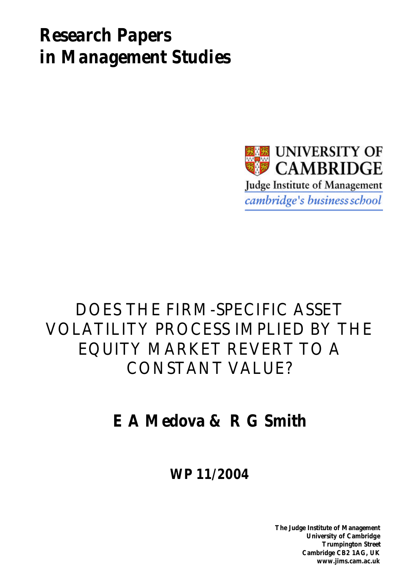# *Research Papers in Management Studies*



## DOES THE FIRM-SPECIFIC ASSET VOLATILITY PROCESS IMPLIED BY THE EQUITY MARKET REVERT TO A CONSTANT VALUE?

## **E A Medova & R G Smith**

**WP 11/2004**

**The Judge Institute of Management University of Cambridge Trumpington Street Cambridge CB2 1AG, UK www.jims.cam.ac.uk**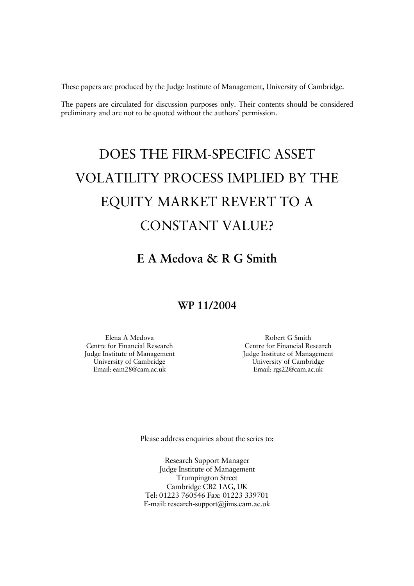These papers are produced by the Judge Institute of Management, University of Cambridge.

The papers are circulated for discussion purposes only. Their contents should be considered preliminary and are not to be quoted without the authors' permission.

# DOES THE FIRM-SPECIFIC ASSET VOLATILITY PROCESS IMPLIED BY THE EQUITY MARKET REVERT TO A CONSTANT VALUE?

### **E A Medova & R G Smith**

#### **WP 11/2004**

Elena A Medova Centre for Financial Research Judge Institute of Management University of Cambridge Email: eam28@cam.ac.uk

Robert G Smith Centre for Financial Research Judge Institute of Management University of Cambridge Email: rgs22@cam.ac.uk

Please address enquiries about the series to:

Research Support Manager Judge Institute of Management Trumpington Street Cambridge CB2 1AG, UK Tel: 01223 760546 Fax: 01223 339701 E-mail: research-support@jims.cam.ac.uk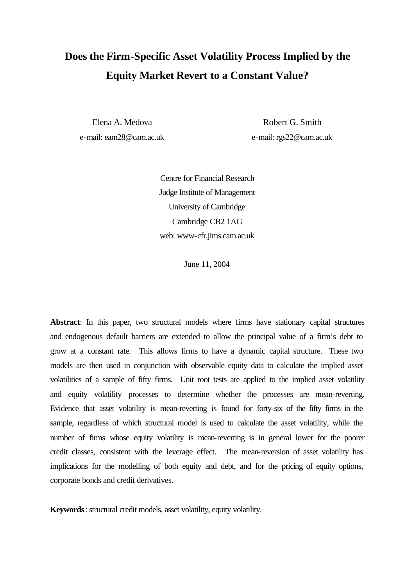### **Does the Firm-Specific Asset Volatility Process Implied by the Equity Market Revert to a Constant Value?**

Elena A. Medova e-mail: eam28@cam.ac.uk

Robert G. Smith e-mail: rgs22@cam.ac.uk

Centre for Financial Research Judge Institute of Management University of Cambridge Cambridge CB2 1AG web: www-cfr.jims.cam.ac.uk

June 11, 2004

**Abstract**: In this paper, two structural models where firms have stationary capital structures and endogenous default barriers are extended to allow the principal value of a firm's debt to grow at a constant rate. This allows firms to have a dynamic capital structure. These two models are then used in conjunction with observable equity data to calculate the implied asset volatilities of a sample of fifty firms. Unit root tests are applied to the implied asset volatility and equity volatility processes to determine whether the processes are mean-reverting. Evidence that asset volatility is mean-reverting is found for forty-six of the fifty firms in the sample, regardless of which structural model is used to calculate the asset volatility, while the number of firms whose equity volatility is mean-reverting is in general lower for the poorer credit classes, consistent with the leverage effect. The mean-reversion of asset volatility has implications for the modelling of both equity and debt, and for the pricing of equity options, corporate bonds and credit derivatives.

**Keywords**: structural credit models, asset volatility, equity volatility.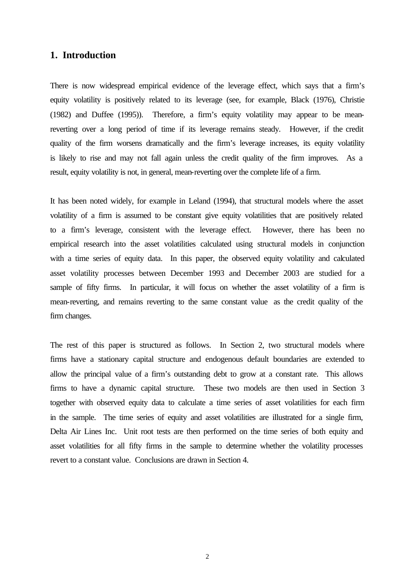#### **1. Introduction**

There is now widespread empirical evidence of the leverage effect, which says that a firm's equity volatility is positively related to its leverage (see, for example, Black (1976), Christie (1982) and Duffee (1995)). Therefore, a firm's equity volatility may appear to be meanreverting over a long period of time if its leverage remains steady. However, if the credit quality of the firm worsens dramatically and the firm's leverage increases, its equity volatility is likely to rise and may not fall again unless the credit quality of the firm improves. As a result, equity volatility is not, in general, mean-reverting over the complete life of a firm.

It has been noted widely, for example in Leland (1994), that structural models where the asset volatility of a firm is assumed to be constant give equity volatilities that are positively related to a firm's leverage, consistent with the leverage effect. However, there has been no empirical research into the asset volatilities calculated using structural models in conjunction with a time series of equity data. In this paper, the observed equity volatility and calculated asset volatility processes between December 1993 and December 2003 are studied for a sample of fifty firms. In particular, it will focus on whether the asset volatility of a firm is mean-reverting, and remains reverting to the same constant value as the credit quality of the firm changes.

The rest of this paper is structured as follows. In Section 2, two structural models where firms have a stationary capital structure and endogenous default boundaries are extended to allow the principal value of a firm's outstanding debt to grow at a constant rate. This allows firms to have a dynamic capital structure. These two models are then used in Section 3 together with observed equity data to calculate a time series of asset volatilities for each firm in the sample. The time series of equity and asset volatilities are illustrated for a single firm, Delta Air Lines Inc. Unit root tests are then performed on the time series of both equity and asset volatilities for all fifty firms in the sample to determine whether the volatility processes revert to a constant value. Conclusions are drawn in Section 4.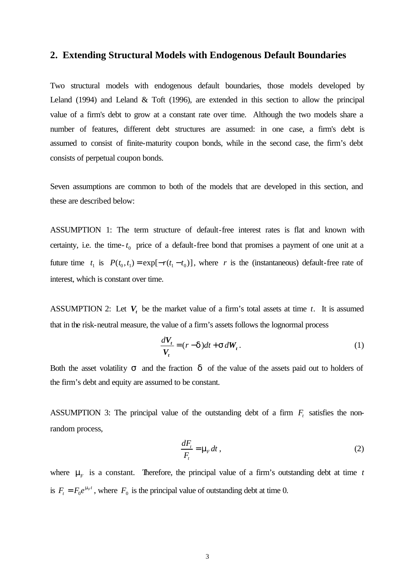#### **2. Extending Structural Models with Endogenous Default Boundaries**

Two structural models with endogenous default boundaries, those models developed by Leland (1994) and Leland  $\&$  Toft (1996), are extended in this section to allow the principal value of a firm's debt to grow at a constant rate over time. Although the two models share a number of features, different debt structures are assumed: in one case, a firm's debt is assumed to consist of finite-maturity coupon bonds, while in the second case, the firm's debt consists of perpetual coupon bonds.

Seven assumptions are common to both of the models that are developed in this section, and these are described below:

ASSUMPTION 1: The term structure of default-free interest rates is flat and known with certainty, i.e. the time- $t_0$  price of a default-free bond that promises a payment of one unit at a future time  $t_1$  is  $P(t_0, t_1) = \exp[-r(t_1 - t_0)]$ , where *r* is the (instantaneous) default-free rate of interest, which is constant over time.

ASSUMPTION 2: Let  $V_t$  be the market value of a firm's total assets at time *t*. It is assumed that in the risk-neutral measure, the value of a firm's assets follows the lognormal process

$$
\frac{dV_t}{V_t} = (r - \mathbf{d})dt + \mathbf{S}dW_t.
$$
\n(1)

Both the asset volatility *s* and the fraction *d* of the value of the assets paid out to holders of the firm's debt and equity are assumed to be constant.

ASSUMPTION 3: The principal value of the outstanding debt of a firm  $F<sub>t</sub>$  satisfies the nonrandom process,

$$
\frac{dF_t}{F_t} = \mathbf{m}_F dt ,
$$
 (2)

where  $m<sub>F</sub>$  is a constant. Therefore, the principal value of a firm's outstanding debt at time *t* is  $F_t = F_0 e^{m_F t}$ , where  $F_0$  is the principal value of outstanding debt at time 0.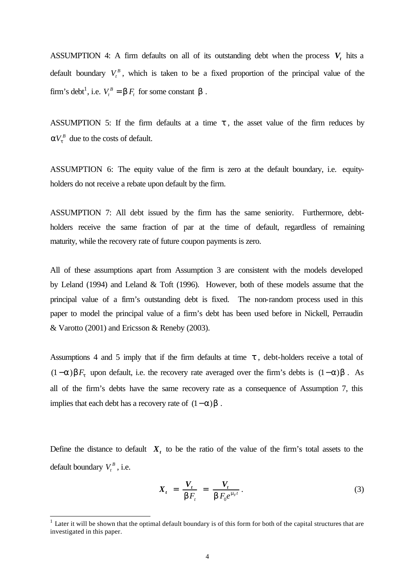ASSUMPTION 4: A firm defaults on all of its outstanding debt when the process  $V_t$  hits a default boundary  $V_t^B$ , which is taken to be a fixed proportion of the principal value of the firm's debt<sup>1</sup>, i.e.  $V_t^B = \boldsymbol{b} F_t$  for some constant  $\boldsymbol{b}$ .

ASSUMPTION 5: If the firm defaults at a time  $t$ , the asset value of the firm reduces by  $aV_t^B$  due to the costs of default.

ASSUMPTION 6: The equity value of the firm is zero at the default boundary, i.e. equityholders do not receive a rebate upon default by the firm.

ASSUMPTION 7: All debt issued by the firm has the same seniority. Furthermore, debtholders receive the same fraction of par at the time of default, regardless of remaining maturity, while the recovery rate of future coupon payments is zero.

All of these assumptions apart from Assumption 3 are consistent with the models developed by Leland (1994) and Leland & Toft (1996). However, both of these models assume that the principal value of a firm's outstanding debt is fixed. The non-random process used in this paper to model the principal value of a firm's debt has been used before in Nickell, Perraudin & Varotto (2001) and Ericsson & Reneby (2003).

Assumptions 4 and 5 imply that if the firm defaults at time *t* , debt-holders receive a total of  $(1 - a)$ *bF*<sub>t</sub> upon default, i.e. the recovery rate averaged over the firm's debts is  $(1 - a)$ *b*. As all of the firm's debts have the same recovery rate as a consequence of Assumption 7, this implies that each debt has a recovery rate of  $(1 - a) b$ .

Define the distance to default  $X_t$  to be the ratio of the value of the firm's total assets to the default boundary  $V_t^B$ , i.e.

$$
X_t = \frac{V_t}{bF_t} = \frac{V_t}{bF_0e^{m_{t}t}}.
$$
\n(3)

l

 $<sup>1</sup>$  Later it will be shown that the optimal default boundary is of this form for both of the capital structures that are</sup> investigated in this paper.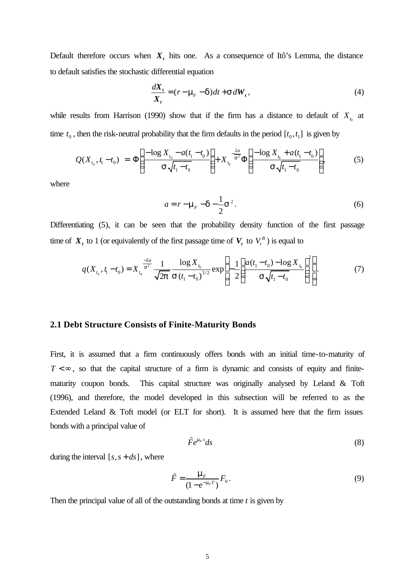Default therefore occurs when  $X_t$  hits one. As a consequence of Itô's Lemma, the distance to default satisfies the stochastic differential equation

$$
\frac{dX_t}{X_t} = (r - \mathbf{m}_F - \mathbf{d})dt + \mathbf{S}dW_t, \qquad (4)
$$

while results from Harrison (1990) show that if the firm has a distance to default of  $X_{t_0}$  at time  $t_0$ , then the risk-neutral probability that the firm defaults in the period  $[t_0, t_1]$  is given by

$$
Q(X_{t_0}, t_1 - t_0) = \Phi\left(\frac{-\log X_{t_0} - a(t_1 - t_0)}{\mathbf{s}\sqrt{t_1 - t_0}}\right) + X_{t_0}^{-\frac{2a}{\mathbf{s}^2}}\Phi\left(\frac{-\log X_{t_0} + a(t_1 - t_0)}{\mathbf{s}\sqrt{t_1 - t_0}}\right),\tag{5}
$$

where

$$
a = r - \mathbf{m}_F - \mathbf{d} - \frac{1}{2} \mathbf{S}^2.
$$
 (6)

Differentiating (5), it can be seen that the probability density function of the first passage time of  $X_t$  to 1 (or equivalently of the first passage time of  $V_t$  to  $V_t^B$ ) is equal to

$$
q(X_{t_0}, t_1 - t_0) = X_{t_0} \frac{\frac{-2a}{s^2}}{\sqrt{2p}} \frac{1}{s(t_1 - t_0)^{3/2}} \exp\left[-\frac{1}{2}\left(\frac{a(t_1 - t_0) - \log X_{t_0}}{s\sqrt{t_1 - t_0}}\right)^2\right].
$$
 (7)

#### **2.1 Debt Structure Consists of Finite-Maturity Bonds**

First, it is assumed that a firm continuously offers bonds with an initial time-to-maturity of  $T < \infty$ , so that the capital structure of a firm is dynamic and consists of equity and finitematurity coupon bonds. This capital structure was originally analysed by Leland & Toft (1996), and therefore, the model developed in this subsection will be referred to as the Extended Leland & Toft model (or ELT for short). It is assumed here that the firm issues bonds with a principal value of

$$
\tilde{F}e^{\mathbf{m}_F s}ds\tag{8}
$$

during the interval  $[s, s + ds]$ , where

$$
\tilde{F} = \frac{\mathbf{m}_F}{\left(1 - e^{-\mathbf{m}_F T}\right)} F_0.
$$
\n<sup>(9)</sup>

Then the principal value of all of the outstanding bonds at time *t* is given by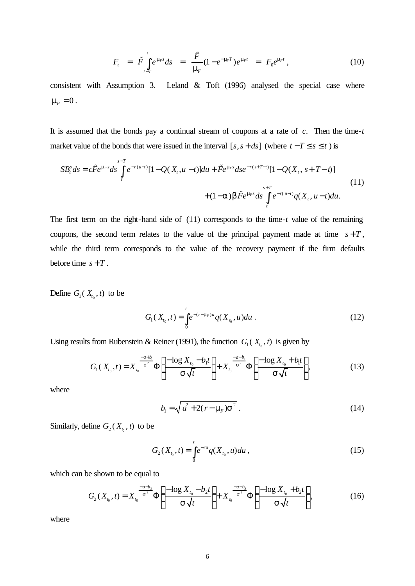$$
F_t = \tilde{F} \int_{t-T}^t e^{m_r s} ds = \frac{\tilde{F}}{m_r} (1 - e^{-m_r}) e^{m_r t} = F_0 e^{m_r t}, \qquad (10)
$$

consistent with Assumption 3. Leland & Toft (1996) analysed the special case where  $m_F = 0$ .

It is assumed that the bonds pay a continual stream of coupons at a rate of *c*. Then the time-*t* market value of the bonds that were issued in the interval  $[s, s + ds]$  (where  $t - T \le s \le t$ ) is

$$
SB_t^s ds = c\tilde{F}e^{\mathbf{m}_F s} ds \int_{t}^{s+T} e^{-r(u-t)} [1 - Q(X_t, u-t)] du + \tilde{F}e^{\mathbf{m}_F s} ds e^{-r(s+T-t)} [1 - Q(X_t, s+T-t)]
$$
  
 
$$
+ (1-a) \mathbf{b} \tilde{F}e^{\mathbf{m}_F s} ds \int_{t}^{s+T} e^{-r(u-t)} q(X_t, u-t) du.
$$
 (11)

The first term on the right-hand side of (11) corresponds to the time-*t* value of the remaining coupons, the second term relates to the value of the principal payment made at time  $s + T$ , while the third term corresponds to the value of the recovery payment if the firm defaults before time  $s + T$ .

Define  $G_1(X_{t_0}, t)$  to be

$$
G_1(X_{t_0},t) = \int_0^t e^{-(r-m_F)u} q(X_{t_0},u) du.
$$
 (12)

Using results from Rubenstein & Reiner (1991), the function  $G_1(X_{t_0}, t)$  is given by

$$
G_{1}(X_{t_{0}},t) = X_{t_{0}}^{\frac{-a+b_{1}}{s^{2}}}\Phi\left(\frac{-\log X_{t_{0}}-b_{1}t}{s\sqrt{t}}\right) + X_{t_{0}}^{\frac{-a-b_{1}}{s^{2}}}\Phi\left(\frac{-\log X_{t_{0}}+b_{1}t}{s\sqrt{t}}\right),
$$
\n(13)

where

$$
b_{\rm l} = \sqrt{a^2 + 2(r - \mathbf{m}_F)\mathbf{s}^2} \,. \tag{14}
$$

Similarly, define  $G_2(X_{t_0}, t)$  to be

$$
G_2(X_{t_0},t) = \int_0^t e^{-ru} q(X_{t_0},u) du,
$$
\n(15)

which can be shown to be equal to

$$
G_2(X_{t_0}, t) = X_{t_0}^{\frac{-a+b_2}{s^2}} \Phi\left(\frac{-\log X_{t_0} - b_2 t}{s \sqrt{t}}\right) + X_{t_0}^{\frac{-a-b_2}{s^2}} \Phi\left(\frac{-\log X_{t_0} + b_2 t}{s \sqrt{t}}\right),\tag{16}
$$

where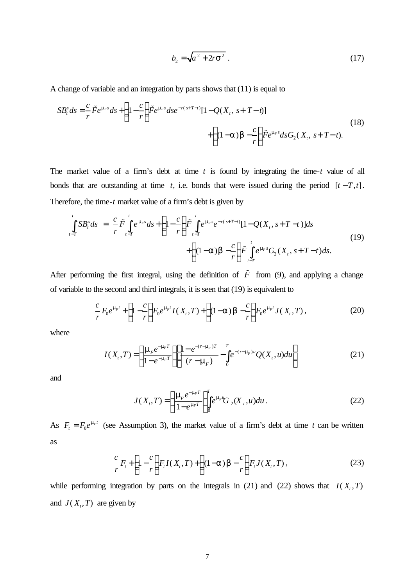$$
b_2 = \sqrt{a^2 + 2r\mathbf{s}^2} \tag{17}
$$

A change of variable and an integration by parts shows that (11) is equal to

$$
SB_t^s ds = \frac{c}{r} \tilde{F} e^{\mathbf{m}_F s} ds + \left(1 - \frac{c}{r}\right) \tilde{F} e^{\mathbf{m}_F s} ds e^{-r(s+T-t)} [1 - Q(X_t, s+T-t)] + \left(1 - \mathbf{a}) \mathbf{b} - \frac{c}{r}\right) \tilde{F} e^{\mathbf{m}_F s} ds G_2(X_t, s+T-t).
$$
(18)

The market value of a firm's debt at time *t* is found by integrating the time-*t* value of all bonds that are outstanding at time  $t$ , i.e. bonds that were issued during the period  $[t - T, t]$ . Therefore, the time-*t* market value of a firm's debt is given by

$$
\int_{t-T}^{t} SB_t^s ds = \frac{c}{r} \tilde{F} \int_{t-T}^{t} e^{m_r s} ds + \left(1 - \frac{c}{r}\right) \tilde{F} \int_{t-T}^{t} e^{m_r s} e^{-r(s+T-t)} [1 - Q(X_t, s+T-t)] ds \n+ \left(1 - a) b - \frac{c}{r}\right) \tilde{F} \int_{t-T}^{t} e^{m_r s} G_2(X_t, s+T-t) ds.
$$
\n(19)

After performing the first integral, using the definition of  $\tilde{F}$  from (9), and applying a change of variable to the second and third integrals, it is seen that (19) is equivalent to

$$
\frac{c}{r}F_0e^{m_{r}t} + \left(1 - \frac{c}{r}\right)F_0e^{m_{r}t}I(X_t, T) + \left((1 - a) b - \frac{c}{r}\right)F_0e^{m_{r}t}J(X_t, T),
$$
\n(20)

where

$$
I(X_t, T) = \left(\frac{\mathbf{m}_F e^{-\mathbf{m}_F T}}{1 - e^{-\mathbf{m}_F T}}\right) \left[\frac{1 - e^{-(r - \mathbf{m}_F)T}}{(r - \mathbf{m}_F)} - \int_0^T e^{-(r - \mathbf{m}_F)u} Q(X_t, u) du\right]
$$
(21)

and

$$
J(X_t, T) = \left(\frac{\mathbf{m}_F e^{-\mathbf{m}_F T}}{1 - e^{\mathbf{m}_F T}}\right)_0^T e^{\mathbf{m}_F U} G_2(X_t, u) du.
$$
 (22)

As  $F_t = F_0 e^{m_t t}$  (see Assumption 3), the market value of a firm's debt at time *t* can be written as

$$
\frac{c}{r}F_t + \left(1 - \frac{c}{r}\right)F_tI(X_t, T) + \left((1 - a)b - \frac{c}{r}\right)F_tJ(X_t, T),\tag{23}
$$

while performing integration by parts on the integrals in (21) and (22) shows that  $I(X_t, T)$ and  $J(X_t, T)$  are given by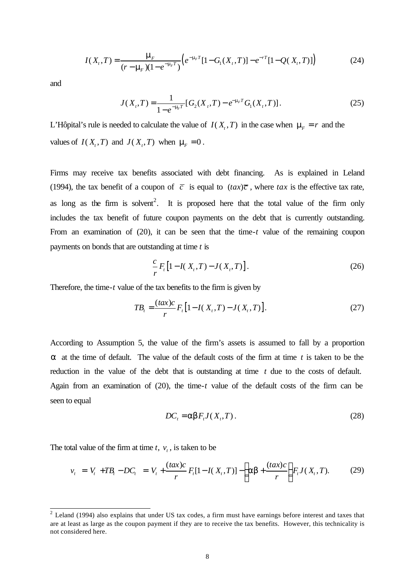$$
I(X_t, T) = \frac{\mathbf{m}_F}{(r - \mathbf{m}_F)(1 - e^{-\mathbf{m}_F T})} \Big( e^{-\mathbf{m}_F T} [1 - G_1(X_t, T)] - e^{-rT} [1 - Q(X_t, T)] \Big)
$$
(24)

and

$$
J(X_t, T) = \frac{1}{1 - e^{-m_t T}} [G_2(X_t, T) - e^{-m_t T} G_1(X_t, T)].
$$
\n(25)

L'Hôpital's rule is needed to calculate the value of  $I(X_t, T)$  in the case when  $m_F = r$  and the values of  $I(X_t, T)$  and  $J(X_t, T)$  when  $m_F = 0$ .

Firms may receive tax benefits associated with debt financing. As is explained in Leland (1994), the tax benefit of a coupon of  $\overline{c}$  is equal to  $(tax)\overline{c}$ , where  $tax$  is the effective tax rate, as long as the firm is solvent<sup>2</sup>. It is proposed here that the total value of the firm only includes the tax benefit of future coupon payments on the debt that is currently outstanding. From an examination of (20), it can be seen that the time-*t* value of the remaining coupon payments on bonds that are outstanding at time *t* is

$$
\frac{c}{r} F_t \left[ 1 - I(X_t, T) - J(X_t, T) \right]. \tag{26}
$$

Therefore, the time-*t* value of the tax benefits to the firm is given by

$$
TB_t = \frac{(tax)c}{r} F_t [1 - I(X_t, T) - J(X_t, T)].
$$
\n(27)

According to Assumption 5, the value of the firm's assets is assumed to fall by a proportion *a* at the time of default. The value of the default costs of the firm at time *t* is taken to be the reduction in the value of the debt that is outstanding at time *t* due to the costs of default. Again from an examination of (20), the time-*t* value of the default costs of the firm can be seen to equal

$$
DCt = abFtJ(Xt,T).
$$
 (28)

The total value of the firm at time  $t$ ,  $v_t$ , is taken to be

$$
v_t = V_t + TB_t - DC_t = V_t + \frac{(tax)c}{r} F_t[1 - I(X_t, T)] - \left( ab + \frac{(tax)c}{r} \right) F_t J(X_t, T). \tag{29}
$$

<sup>&</sup>lt;sup>2</sup> Leland (1994) also explains that under US tax codes, a firm must have earnings before interest and taxes that are at least as large as the coupon payment if they are to receive the tax benefits. However, this technicality is not considered here.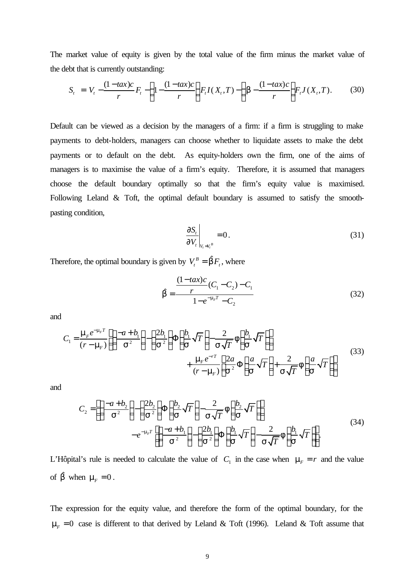The market value of equity is given by the total value of the firm minus the market value of the debt that is currently outstanding:

$$
S_t = V_t - \frac{(1 - tax)c}{r} F_t - \left(1 - \frac{(1 - tax)c}{r}\right) F_t I(X_t, T) - \left(b - \frac{(1 - tax)c}{r}\right) F_t J(X_t, T). \tag{30}
$$

Default can be viewed as a decision by the managers of a firm: if a firm is struggling to make payments to debt-holders, managers can choose whether to liquidate assets to make the debt payments or to default on the debt. As equity-holders own the firm, one of the aims of managers is to maximise the value of a firm's equity. Therefore, it is assumed that managers choose the default boundary optimally so that the firm's equity value is maximised. Following Leland & Toft, the optimal default boundary is assumed to satisfy the smoothpasting condition,

$$
\left. \frac{\partial S_t}{\partial V_t} \right|_{V_t = V_t^B} = 0. \tag{31}
$$

Therefore, the optimal boundary is given by  $V_t^B = \hat{b} F_t$ , where

$$
\hat{\mathbf{b}} = \frac{(1 - \tan)c}{1 - e^{-m_p T} - C_2} \tag{32}
$$

and

$$
C_1 = \frac{\mathbf{m}_r e^{-\mathbf{m}_r T}}{(r - \mathbf{m}_r) \left[ \left( \frac{-a + b_1}{\mathbf{s}^2} \right) - \left( \frac{2b_1}{\mathbf{s}^2} \right) \Phi \left( \frac{b_1}{\mathbf{s}} \sqrt{T} \right) - \frac{2}{\mathbf{s} \sqrt{T}} \mathbf{f} \left( \frac{b_1}{\mathbf{s}} \sqrt{T} \right) \right] + \frac{\mathbf{m}_r e^{-r}}{(r - \mathbf{m}_r) \left[ \mathbf{s}^2 \Phi \left( \frac{a}{\mathbf{s}} \sqrt{T} \right) + \frac{2}{\mathbf{s} \sqrt{T}} \mathbf{f} \left( \frac{a}{\mathbf{s}} \sqrt{T} \right) \right]}
$$
(33)

and

$$
C_2 = \left[ \left( \frac{-a+b_2}{\mathbf{s}^2} \right) - \left( \frac{2b_2}{\mathbf{s}^2} \right) \Phi \left( \frac{b_2}{\mathbf{s}} \sqrt{T} \right) - \frac{2}{\mathbf{s} \sqrt{T}} \mathbf{f} \left( \frac{b_2}{\mathbf{s}} \sqrt{T} \right) \right] - e^{-m_r T} \left[ \left( \frac{-a+b_1}{\mathbf{s}^2} \right) - \left( \frac{2b_1}{\mathbf{s}^2} \right) \Phi \left( \frac{b_1}{\mathbf{s}} \sqrt{T} \right) - \frac{2}{\mathbf{s} \sqrt{T}} \mathbf{f} \left( \frac{b_1}{\mathbf{s}} \sqrt{T} \right) \right].
$$
 (34)

L'Hôpital's rule is needed to calculate the value of  $C_1$  in the case when  $m_F = r$  and the value of  $\hat{\mathbf{b}}$  when  $\mathbf{m}_F = 0$ .

The expression for the equity value, and therefore the form of the optimal boundary, for the  $m<sub>F</sub> = 0$  case is different to that derived by Leland & Toft (1996). Leland & Toft assume that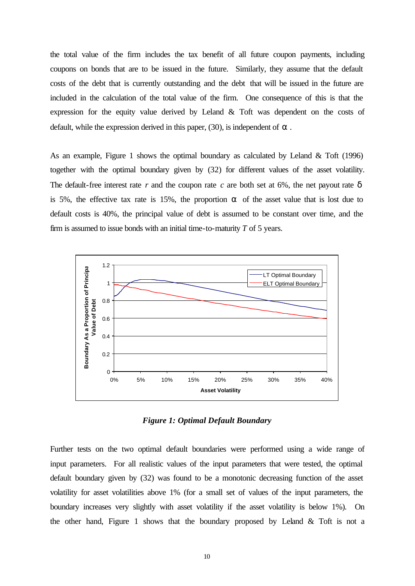the total value of the firm includes the tax benefit of all future coupon payments, including coupons on bonds that are to be issued in the future. Similarly, they assume that the default costs of the debt that is currently outstanding and the debt that will be issued in the future are included in the calculation of the total value of the firm. One consequence of this is that the expression for the equity value derived by Leland & Toft was dependent on the costs of default, while the expression derived in this paper, (30), is independent of *a* .

As an example, Figure 1 shows the optimal boundary as calculated by Leland & Toft (1996) together with the optimal boundary given by (32) for different values of the asset volatility. The default-free interest rate  $r$  and the coupon rate  $c$  are both set at 6%, the net payout rate  $\boldsymbol{d}$ is 5%, the effective tax rate is 15%, the proportion *a* of the asset value that is lost due to default costs is 40%, the principal value of debt is assumed to be constant over time, and the firm is assumed to issue bonds with an initial time-to-maturity *T* of 5 years.



*Figure 1: Optimal Default Boundary*

Further tests on the two optimal default boundaries were performed using a wide range of input parameters. For all realistic values of the input parameters that were tested, the optimal default boundary given by (32) was found to be a monotonic decreasing function of the asset volatility for asset volatilities above 1% (for a small set of values of the input parameters, the boundary increases very slightly with asset volatility if the asset volatility is below 1%). On the other hand, Figure 1 shows that the boundary proposed by Leland  $&$  Toft is not a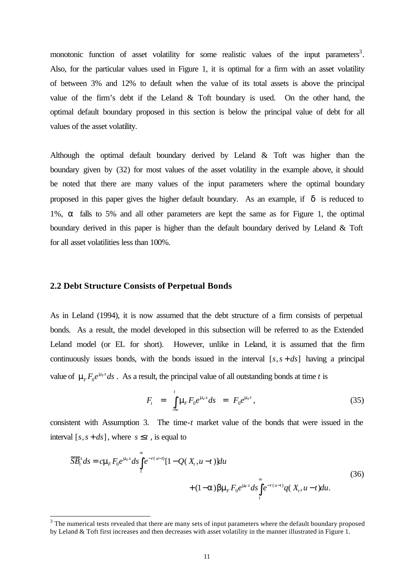monotonic function of asset volatility for some realistic values of the input parameters<sup>3</sup>. Also, for the particular values used in Figure 1, it is optimal for a firm with an asset volatility of between 3% and 12% to default when the value of its total assets is above the principal value of the firm's debt if the Leland & Toft boundary is used. On the other hand, the optimal default boundary proposed in this section is below the principal value of debt for all values of the asset volatility.

Although the optimal default boundary derived by Leland & Toft was higher than the boundary given by (32) for most values of the asset volatility in the example above, it should be noted that there are many values of the input parameters where the optimal boundary proposed in this paper gives the higher default boundary. As an example, if *d* is reduced to 1%, *a* falls to 5% and all other parameters are kept the same as for Figure 1, the optimal boundary derived in this paper is higher than the default boundary derived by Leland & Toft for all asset volatilities less than 100%.

#### **2.2 Debt Structure Consists of Perpetual Bonds**

l

As in Leland (1994), it is now assumed that the debt structure of a firm consists of perpetual bonds. As a result, the model developed in this subsection will be referred to as the Extended Leland model (or EL for short). However, unlike in Leland, it is assumed that the firm continuously issues bonds, with the bonds issued in the interval  $[s, s + ds]$  having a principal value of  $\mathbf{m}_F F_0 e^{\mathbf{m}_F s} ds$ . As a result, the principal value of all outstanding bonds at time *t* is

$$
F_t = \int_{-\infty}^t \mathbf{m}_F F_0 e^{\mathbf{m}_F s} ds = F_0 e^{\mathbf{m}_F t}, \qquad (35)
$$

consistent with Assumption 3. The time-*t* market value of the bonds that were issued in the interval  $[s, s + ds]$ , where  $s \leq t$ , is equal to

$$
\overline{SB}_{t}^{s} ds = c \mathbf{m}_{F} F_{0} e^{\mathbf{m}_{F} s} ds \int_{t}^{\infty} e^{-r(u-t)} [1 - Q(X_{t}, u-t)] du
$$
  
+ (1-a)  $\mathbf{b} \mathbf{m}_{F} F_{0} e^{\mathbf{m}_{F} s} ds \int_{t}^{\infty} e^{-r(u-t)} q(X_{t}, u-t) du.$  (36)

 $3$  The numerical tests revealed that there are many sets of input parameters where the default boundary proposed by Leland & Toft first increases and then decreases with asset volatility in the manner illustrated in Figure 1.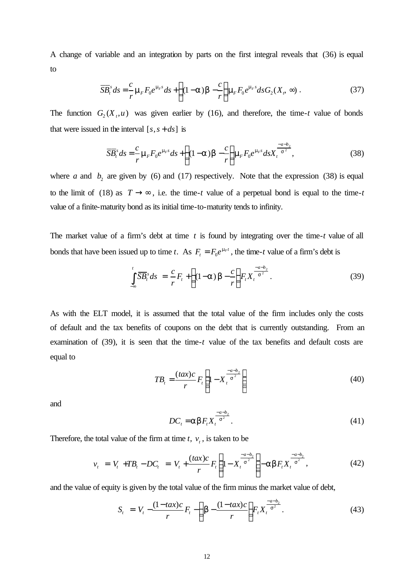A change of variable and an integration by parts on the first integral reveals that (36) is equal to

$$
\overline{SB}_r^s ds = -\frac{c}{r} \mathbf{m}_F F_0 e^{\mathbf{m}_F s} ds + \left( (1 - \mathbf{a}) \mathbf{b} - \frac{c}{r} \right) \mathbf{m}_F F_0 e^{\mathbf{m}_F s} ds G_2(X_r, \infty) \,. \tag{37}
$$

The function  $G_2(X_t, u)$  was given earlier by (16), and therefore, the time-*t* value of bonds that were issued in the interval  $[s, s + ds]$  is

$$
\overline{SB}_{t}^{s} ds = \frac{c}{r} \mathbf{m}_{F} F_{0} e^{\mathbf{m}_{F} s} ds + \left( (1 - \mathbf{a}) \mathbf{b} - \frac{c}{r} \right) \mathbf{m}_{F} F_{0} e^{\mathbf{m}_{F} s} ds X_{t}^{\frac{-a - b_{2}}{s^{2}}}, \tag{38}
$$

where *a* and  $b_2$  are given by (6) and (17) respectively. Note that the expression (38) is equal to the limit of (18) as  $T \rightarrow \infty$ , i.e. the time-*t* value of a perpetual bond is equal to the time-*t* value of a finite-maturity bond as its initial time-to-maturity tends to infinity.

The market value of a firm's debt at time *t* is found by integrating over the time-*t* value of all bonds that have been issued up to time *t*. As  $F_t = F_0 e^{m_t t}$ , the time-*t* value of a firm's debt is

$$
\int_{-\infty}^{t} \overline{SB}_{t}^{s} ds = \frac{c}{r} F_{t} + \left( (1 - a) b - \frac{c}{r} \right) F_{t} X_{t}^{\frac{-a - b_{2}}{s^{2}}}.
$$
\n(39)

As with the ELT model, it is assumed that the total value of the firm includes only the costs of default and the tax benefits of coupons on the debt that is currently outstanding. From an examination of (39), it is seen that the time-*t* value of the tax benefits and default costs are equal to

$$
TB_t = \frac{(tax)c}{r} F_t \left(1 - X_t^{\frac{-a-b_2}{s^2}}\right)
$$
\n(40)

and

$$
DCt = abFtXt\frac{-a-b_2}{s^2}.
$$
\n(41)

Therefore, the total value of the firm at time  $t$ ,  $v_t$ , is taken to be

$$
v_t = V_t + T B_t - DC_t = V_t + \frac{(tax)c}{r} F_t \left( 1 - X_t^{\frac{-a-b_2}{s^2}} \right) - ab F_t X_t^{\frac{-a-b_2}{s^2}}, \tag{42}
$$

and the value of equity is given by the total value of the firm minus the market value of debt,

$$
S_{t} = V_{t} - \frac{(1 - tax)c}{r} F_{t} - \left( \boldsymbol{b} - \frac{(1 - tax)c}{r} \right) F_{t} X_{t}^{-\frac{a - b_{2}}{s^{2}}}.
$$
 (43)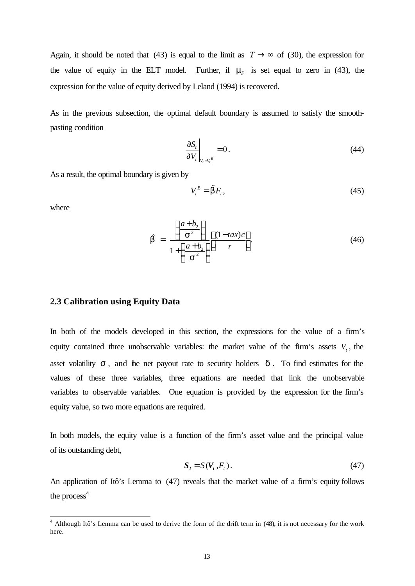Again, it should be noted that (43) is equal to the limit as  $T \rightarrow \infty$  of (30), the expression for the value of equity in the ELT model. Further, if  $m_F$  is set equal to zero in (43), the expression for the value of equity derived by Leland (1994) is recovered.

As in the previous subsection, the optimal default boundary is assumed to satisfy the smoothpasting condition

$$
\left. \frac{\partial S_t}{\partial V_t} \right|_{V_t = V_t^B} = 0. \tag{44}
$$

As a result, the optimal boundary is given by

$$
V_t^B = \hat{\boldsymbol{b}} F_t,\tag{45}
$$

where

$$
\hat{\boldsymbol{b}} = \frac{\left(\frac{a+b_2}{\mathbf{s}^2}\right)}{1+\left(\frac{a+b_2}{\mathbf{s}^2}\right)} \left[\frac{(1-tax)c}{r}\right].\tag{46}
$$

#### **2.3 Calibration using Equity Data**

In both of the models developed in this section, the expressions for the value of a firm's equity contained three unobservable variables: the market value of the firm's assets  $V_t$ , the asset volatility *s* , and the net payout rate to security holders *d* . To find estimates for the values of these three variables, three equations are needed that link the unobservable variables to observable variables. One equation is provided by the expression for the firm's equity value, so two more equations are required.

In both models, the equity value is a function of the firm's asset value and the principal value of its outstanding debt,

$$
S_t = S(V_t, F_t). \tag{47}
$$

An application of Itô's Lemma to (47) reveals that the market value of a firm's equity follows the process $4$ 

<sup>&</sup>lt;sup>4</sup> Although Itô's Lemma can be used to derive the form of the drift term in (48), it is not necessary for the work here.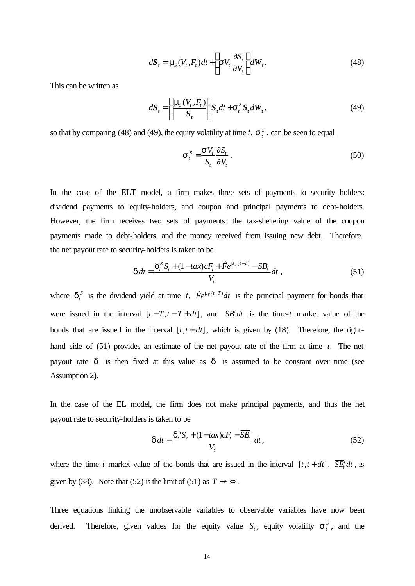$$
d\mathbf{S}_t = \mathbf{m}_s(V_t, F_t)dt + \left(\mathbf{S}V_t \frac{\partial S_t}{\partial V_t}\right) dW_t.
$$
 (48)

This can be written as

$$
dS_t = \left(\frac{\mathbf{m}_s(V_t, F_t)}{S_t}\right) S_t dt + \mathbf{s}_t^S S_t dW_t, \qquad (49)
$$

so that by comparing (48) and (49), the equity volatility at time  $t$ ,  $\boldsymbol{s}_t^s$ , can be seen to equal

$$
\boldsymbol{S}_t^S = \frac{\boldsymbol{S} V_t}{S_t} \frac{\partial S_t}{\partial V_t} \,. \tag{50}
$$

In the case of the ELT model, a firm makes three sets of payments to security holders: dividend payments to equity-holders, and coupon and principal payments to debt-holders. However, the firm receives two sets of payments: the tax-sheltering value of the coupon payments made to debt-holders, and the money received from issuing new debt. Therefore, the net payout rate to security-holders is taken to be

$$
\mathbf{d} \, dt = \frac{\mathbf{d}_t^S S_t + (1 - t \, \alpha x) c F_t + \tilde{F} e^{\mathbf{m}_F (t - T)} - S B_t^t}{V_t} \, dt \;, \tag{51}
$$

where  $\mathbf{d}_t^s$  is the dividend yield at time *t*,  $\tilde{F}e^{\mathbf{m}_F(t-T)}dt$  is the principal payment for bonds that were issued in the interval  $[t - T, t - T + dt]$ , and  $SB_t^t dt$  is the time-*t* market value of the bonds that are issued in the interval  $[t, t + dt]$ , which is given by (18). Therefore, the righthand side of (51) provides an estimate of the net payout rate of the firm at time *t*. The net payout rate *d* is then fixed at this value as *d* is assumed to be constant over time (see Assumption 2).

In the case of the EL model, the firm does not make principal payments, and thus the net payout rate to security-holders is taken to be

$$
\mathbf{d} dt = \frac{\mathbf{d}_t^S S_t + (1 - t a x) c F_t - \overline{S} \overline{B}_t^t}{V_t} dt, \qquad (52)
$$

where the time-*t* market value of the bonds that are issued in the interval  $[t, t + dt]$ ,  $\overline{SB}^i_t$  $\overline{SB}^t_t dt$ , is given by (38). Note that (52) is the limit of (51) as  $T \rightarrow \infty$ .

Three equations linking the unobservable variables to observable variables have now been derived. Therefore, given values for the equity value  $S_t$ , equity volatility  $S_t^s$ , and the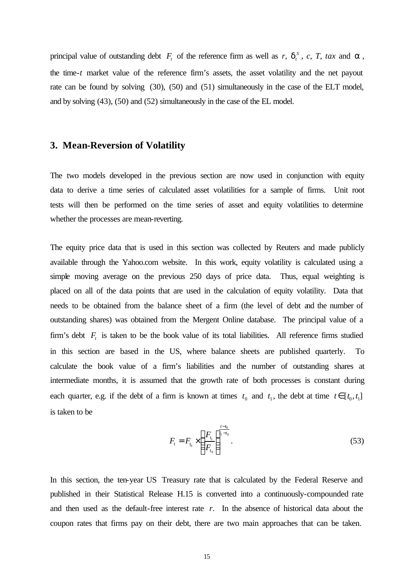principal value of outstanding debt  $F_t$  of the reference firm as well as  $r$ ,  $d_t^s$  $\mathbf{d}_t^s$ , *c*, *T*, *tax* and **a**, the time-*t* market value of the reference firm's assets, the asset volatility and the net payout rate can be found by solving (30), (50) and (51) simultaneously in the case of the ELT model, and by solving (43), (50) and (52) simultaneously in the case of the EL model.

#### **3. Mean-Reversion of Volatility**

The two models developed in the previous section are now used in conjunction with equity data to derive a time series of calculated asset volatilities for a sample of firms. Unit root tests will then be performed on the time series of asset and equity volatilities to determine whether the processes are mean-reverting.

The equity price data that is used in this section was collected by Reuters and made publicly available through the Yahoo.com website. In this work, equity volatility is calculated using a simple moving average on the previous 250 days of price data. Thus, equal weighting is placed on all of the data points that are used in the calculation of equity volatility. Data that needs to be obtained from the balance sheet of a firm (the level of debt and the number of outstanding shares) was obtained from the Mergent Online database. The principal value of a firm's debt  $F_t$  is taken to be the book value of its total liabilities. All reference firms studied in this section are based in the US, where balance sheets are published quarterly. To calculate the book value of a firm's liabilities and the number of outstanding shares at intermediate months, it is assumed that the growth rate of both processes is constant during each quarter, e.g. if the debt of a firm is known at times  $t_0$  and  $t_1$ , the debt at time  $t \in [t_0, t_1]$ is taken to be

$$
F_{t} = F_{t_0} \times \left(\frac{F_{t_1}}{F_{t_0}}\right)^{\frac{t-t_0}{t_1-t_0}}.
$$
\n(53)

In this section, the ten-year US Treasury rate that is calculated by the Federal Reserve and published in their Statistical Release H.15 is converted into a continuously-compounded rate and then used as the default-free interest rate *r*. In the absence of historical data about the coupon rates that firms pay on their debt, there are two main approaches that can be taken.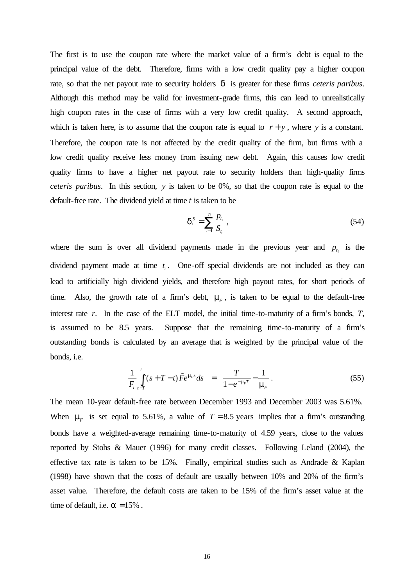The first is to use the coupon rate where the market value of a firm's debt is equal to the principal value of the debt. Therefore, firms with a low credit quality pay a higher coupon rate, so that the net payout rate to security holders *d* is greater for these firms *ceteris paribus*. Although this method may be valid for investment-grade firms, this can lead to unrealistically high coupon rates in the case of firms with a very low credit quality. A second approach, which is taken here, is to assume that the coupon rate is equal to  $r + y$ , where *y* is a constant. Therefore, the coupon rate is not affected by the credit quality of the firm, but firms with a low credit quality receive less money from issuing new debt. Again, this causes low credit quality firms to have a higher net payout rate to security holders than high-quality firms *ceteris paribus*. In this section, *y* is taken to be 0%, so that the coupon rate is equal to the default-free rate. The dividend yield at time *t* is taken to be

$$
\mathbf{d}_t^S = \sum_{i=1}^n \frac{p_{t_i}}{S_{t_i}},
$$
\n(54)

where the sum is over all dividend payments made in the previous year and  $p_{t_i}$  is the dividend payment made at time  $t_i$ . One-off special dividends are not included as they can lead to artificially high dividend yields, and therefore high payout rates, for short periods of time. Also, the growth rate of a firm's debt,  $m_F$ , is taken to be equal to the default-free interest rate *r*. In the case of the ELT model, the initial time-to-maturity of a firm's bonds, *T*, is assumed to be 8.5 years. Suppose that the remaining time-to-maturity of a firm's outstanding bonds is calculated by an average that is weighted by the principal value of the bonds, i.e.

$$
\frac{1}{F_t} \int_{t-t}^{t} (s+T-t) \tilde{F} e^{\mathbf{m}_F s} ds = \frac{T}{1-e^{-\mathbf{m}_F T}} - \frac{1}{\mathbf{m}_F}.
$$
\n(55)

The mean 10-year default-free rate between December 1993 and December 2003 was 5.61%. When  $m<sub>F</sub>$  is set equal to 5.61%, a value of  $T = 8.5$  years implies that a firm's outstanding bonds have a weighted-average remaining time-to-maturity of 4.59 years, close to the values reported by Stohs & Mauer (1996) for many credit classes. Following Leland (2004), the effective tax rate is taken to be 15%. Finally, empirical studies such as Andrade & Kaplan (1998) have shown that the costs of default are usually between 10% and 20% of the firm's asset value. Therefore, the default costs are taken to be 15% of the firm's asset value at the time of default, i.e.  $a = 15\%$ .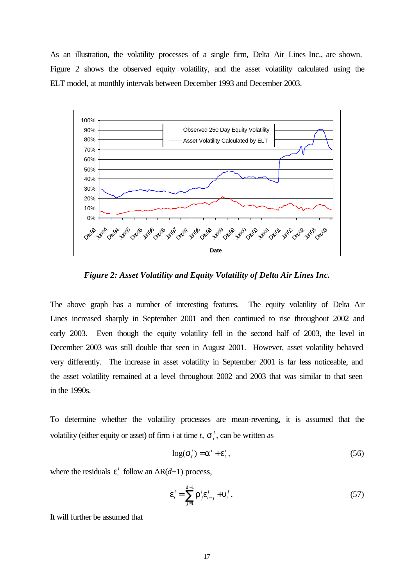As an illustration, the volatility processes of a single firm, Delta Air Lines Inc., are shown. Figure 2 shows the observed equity volatility, and the asset volatility calculated using the ELT model, at monthly intervals between December 1993 and December 2003.



*Figure 2: Asset Volatility and Equity Volatility of Delta Air Lines Inc.*

The above graph has a number of interesting features. The equity volatility of Delta Air Lines increased sharply in September 2001 and then continued to rise throughout 2002 and early 2003. Even though the equity volatility fell in the second half of 2003, the level in December 2003 was still double that seen in August 2001. However, asset volatility behaved very differently. The increase in asset volatility in September 2001 is far less noticeable, and the asset volatility remained at a level throughout 2002 and 2003 that was similar to that seen in the 1990s.

To determine whether the volatility processes are mean-reverting, it is assumed that the volatility (either equity or asset) of firm *i* at time *t*,  $\mathbf{s}_t^i$ , can be written as

$$
\log(\boldsymbol{s}_t^i) = \boldsymbol{a}^i + \boldsymbol{e}_t^i,\tag{56}
$$

where the residuals  $\mathbf{e}_t^i$  follow an AR( $d+1$ ) process,

$$
\boldsymbol{e}_t^i = \sum_{j=1}^{d+1} \boldsymbol{\Gamma}_j^i \boldsymbol{e}_{t-j}^i + \boldsymbol{u}_t^i.
$$
 (57)

It will further be assumed that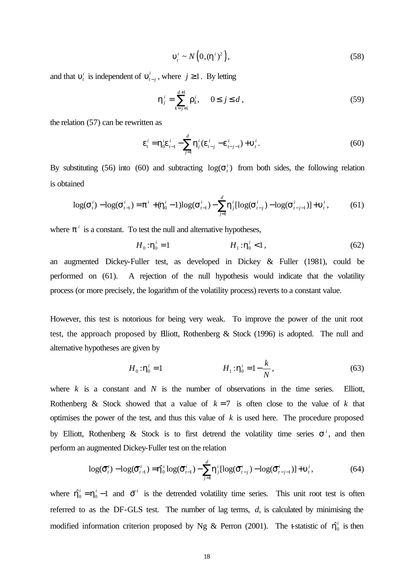$$
\mathbf{u}_i^i \sim N\Big(0, (\mathbf{h}^i)^2\Big),\tag{58}
$$

and that  $\mathbf{u}_t^i$  is independent of  $\mathbf{u}_{t-j}^i$ , where  $j \ge 1$ . By letting

$$
\mathbf{h}_{j}^{i} = \sum_{k=j+1}^{d+1} \mathbf{r}_{k}^{i}, \quad 0 \leq j \leq d , \qquad (59)
$$

the relation (57) can be rewritten as

$$
\mathbf{e}_{t}^{i} = \mathbf{h}_{0}^{i} \mathbf{e}_{t-1}^{i} - \sum_{j=1}^{d} \mathbf{h}_{j}^{i} (\mathbf{e}_{t-j}^{i} - \mathbf{e}_{t-j-1}^{i}) + \mathbf{u}_{t}^{i}.
$$
 (60)

By substituting (56) into (60) and subtracting  $log(s_i^i)$  from both sides, the following relation is obtained

$$
\log(\boldsymbol{s}_{t}^{i}) - \log(\boldsymbol{s}_{t-1}^{i}) = \boldsymbol{p}^{i} + (\boldsymbol{h}_{0}^{i} - 1)\log(\boldsymbol{s}_{t-1}^{i}) - \sum_{j=1}^{d} \boldsymbol{h}_{j}^{i} [\log(\boldsymbol{s}_{t-j}^{i}) - \log(\boldsymbol{s}_{t-j-1}^{i})] + \boldsymbol{u}_{t}^{i},
$$
(61)

where  $p^i$  is a constant. To test the null and alternative hypotheses,

$$
H_0: \mathbf{h}_0^i = 1 \qquad H_1: \mathbf{h}_0^i < 1 \,, \tag{62}
$$

an augmented Dickey-Fuller test, as developed in Dickey & Fuller (1981), could be performed on (61). A rejection of the null hypothesis would indicate that the volatility process (or more precisely, the logarithm of the volatility process) reverts to a constant value.

However, this test is notorious for being very weak. To improve the power of the unit root test, the approach proposed by Elliott, Rothenberg & Stock (1996) is adopted. The null and alternative hypotheses are given by

$$
H_0: \mathbf{h}_0^i = 1 \qquad H_1: \mathbf{h}_0^i = 1 - \frac{k}{N}, \qquad (63)
$$

where  $k$  is a constant and  $N$  is the number of observations in the time series. Elliott, Rothenberg & Stock showed that a value of  $k = 7$  is often close to the value of k that optimises the power of the test, and thus this value of  $k$  is used here. The procedure proposed by Elliott, Rothenberg & Stock is to first detrend the volatility time series  $s^i$ , and then perform an augmented Dickey-Fuller test on the relation

$$
\log(\boldsymbol{\bar{S}}_t^i) - \log(\boldsymbol{\bar{S}}_{t-1}^i) = \boldsymbol{\hat{h}}_0^i \log(\boldsymbol{\bar{S}}_{t-1}^i) - \sum_{j=1}^d \boldsymbol{h}_j^i [\log(\boldsymbol{\bar{S}}_{t-j}^i) - \log(\boldsymbol{\bar{S}}_{t-j-1}^i)] + \boldsymbol{u}_t^i, \tag{64}
$$

where  $\mathbf{h}_0^i = \mathbf{h}_0^i - 1$  and  $\mathbf{S}^i$  is the detrended volatility time series. This unit root test is often referred to as the DF-GLS test. The number of lag terms, *d*, is calculated by minimising the modified information criterion proposed by Ng & Perron (2001). The t-statistic of  $\hat{R}_0^i$  is then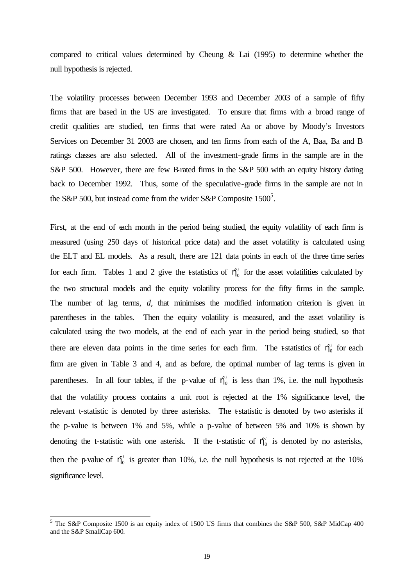compared to critical values determined by Cheung  $\&$  Lai (1995) to determine whether the null hypothesis is rejected.

The volatility processes between December 1993 and December 2003 of a sample of fifty firms that are based in the US are investigated. To ensure that firms with a broad range of credit qualities are studied, ten firms that were rated Aa or above by Moody's Investors Services on December 31 2003 are chosen, and ten firms from each of the A, Baa, Ba and B ratings classes are also selected. All of the investment-grade firms in the sample are in the S&P 500. However, there are few B-rated firms in the S&P 500 with an equity history dating back to December 1992. Thus, some of the speculative-grade firms in the sample are not in the S&P 500, but instead come from the wider S&P Composite  $1500^5$ .

First, at the end of each month in the period being studied, the equity volatility of each firm is measured (using 250 days of historical price data) and the asset volatility is calculated using the ELT and EL models. As a result, there are 121 data points in each of the three time series for each firm. Tables 1 and 2 give the t-statistics of  $\mathbf{h}_0^i$  for the asset volatilities calculated by the two structural models and the equity volatility process for the fifty firms in the sample. The number of lag terms, *d*, that minimises the modified information criterion is given in parentheses in the tables. Then the equity volatility is measured, and the asset volatility is calculated using the two models, at the end of each year in the period being studied, so that there are eleven data points in the time series for each firm. The t-statistics of  $\mathbf{h}_0^i$  for each firm are given in Table 3 and 4, and as before, the optimal number of lag terms is given in parentheses. In all four tables, if the p-value of  $\hat{h}_0^i$  is less than 1%, i.e. the null hypothesis that the volatility process contains a unit root is rejected at the 1% significance level, the relevant t-statistic is denoted by three asterisks. The t-statistic is denoted by two asterisks if the p-value is between 1% and 5%, while a p-value of between 5% and 10% is shown by denoting the t-statistic with one asterisk. If the t-statistic of  $\mathbf{h}_0^i$  is denoted by no asterisks, then the p-value of  $\mathbf{h}_0^i$  is greater than 10%, i.e. the null hypothesis is not rejected at the 10% significance level.

l

<sup>&</sup>lt;sup>5</sup> The S&P Composite 1500 is an equity index of 1500 US firms that combines the S&P 500, S&P MidCap 400 and the S&P SmallCap 600.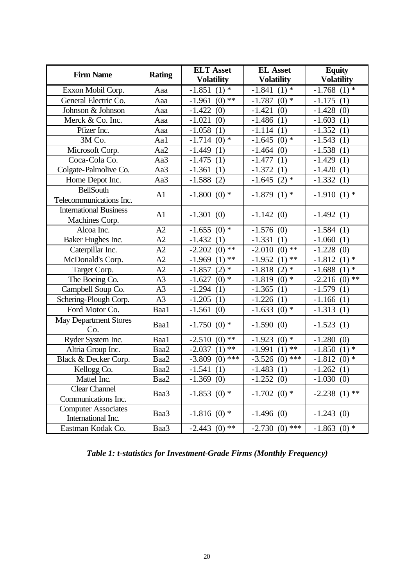| <b>Firm Name</b>                                 | <b>Rating</b>  | <b>ELT Asset</b><br><b>Volatility</b> | <b>EL Asset</b><br><b>Volatility</b> | <b>Equity</b><br><b>Volatility</b> |
|--------------------------------------------------|----------------|---------------------------------------|--------------------------------------|------------------------------------|
| Exxon Mobil Corp.                                | Aaa            | $(1)$ *<br>$-1.851$                   | $-1.841$<br>$(1)$ *                  | $-1.768$<br>$(1)$ *                |
| General Electric Co.                             | Aaa            | $(0)$ **<br>$-1.961$                  | $\sqrt{(0)*}$<br>$-1.787$            | $-1.175$<br>(1)                    |
| Johnson & Johnson                                | Aaa            | $-1.422$<br>(0)                       | $-1.421$<br>(0)                      | $-1.428$<br>(0)                    |
| Merck & Co. Inc.                                 | Aaa            | $-1.021$<br>(0)                       | $-1.486(1)$                          | $-1.603$<br>(1)                    |
| Pfizer Inc.                                      | Aaa            | $-1.058(1)$                           | $-1.114(1)$                          | $-1.352$<br>(1)                    |
| 3M Co.                                           | Aa1            | $(0)$ *<br>$-1.714$                   | $(0)$ *<br>$-1.645$                  | $-1.543$<br>(1)                    |
| Microsoft Corp.                                  | Aa2            | $-1.449$<br>(1)                       | $-1.464(0)$                          | $-1.538$<br>(1)                    |
| Coca-Cola Co.                                    | Aa3            | $-1.475$<br>(1)                       | $-1.477(1)$                          | $-1.429$<br>(1)                    |
| Colgate-Palmolive Co.                            | Aa3            | $-1.361(1)$                           | $-1.372(1)$                          | $-1.420(1)$                        |
| Home Depot Inc.                                  | Aa3            | $-1.588(2)$                           | $-1.645$ (2) *                       | $-1.332(1)$                        |
| <b>BellSouth</b><br>Telecommunications Inc.      | A1             | $-1.800$ (0) *                        | $-1.879(1)$                          | $-1.910(1)$ *                      |
| <b>International Business</b><br>Machines Corp.  | A1             | $-1.301(0)$                           | $-1.142(0)$                          | $-1.492(1)$                        |
| Alcoa Inc.                                       | A2             | $-1.655$ (0) *                        | $-1.576(0)$                          | $-1.584(1)$                        |
| Baker Hughes Inc.                                | A2             | $-1.432$<br>(1)                       | $-1.331$<br>(1)                      | $-1.060$<br>(1)                    |
| Caterpillar Inc.                                 | A2             | $**$<br>$-2.202(0)$                   | $(0)$ **<br>$-2.010$                 | $-1.228(0)$                        |
| McDonald's Corp.                                 | A2             | $(1)$ **<br>$-1.969$                  | $-1.952(1)$ **                       | $\ast$<br>$-1.812$<br>(1)          |
| Target Corp.                                     | A2             | $(2)$ *<br>$-1.857$                   | $(2)$ *<br>$-1.818$                  | $\ast$<br>(1)<br>$-1.688$          |
| The Boeing Co.                                   | A <sub>3</sub> | $(0)$ *<br>$-1.627$                   | $(0)$ *<br>$-1.819$                  | $**$<br>$-2.216$<br>(0)            |
| Campbell Soup Co.                                | A <sub>3</sub> | $-1.294$<br>(1)                       | $-1.365$<br>(1)                      | $-1.579$<br>(1)                    |
| Schering-Plough Corp.                            | A <sub>3</sub> | $-1.205(1)$                           | $-1.226(1)$                          | $-1.166$<br>(1)                    |
| Ford Motor Co.                                   | Baa1           | $-1.561(0)$                           | $-1.633$ (0) *                       | $-1.313$<br>(1)                    |
| <b>May Department Stores</b><br>Co.              | Baa1           | $-1.750(0)*$                          | $-1.590(0)$                          | $-1.523(1)$                        |
| Ryder System Inc.                                | Baa1           | $**$<br>$-2.510$<br>(0)               | $(0) *$<br>$-1.923$                  | $-1.280$<br>(0)                    |
| Altria Group Inc.                                | Baa2           | $**$<br>$-2.037$<br>(1)               | $\ast\ast$<br>$-1.991$<br>(1)        | $(1)$ *<br>$-1.850$                |
| Black & Decker Corp.                             | Baa2           | $(0)$ ***<br>$-3.809$                 | $(0)$ ***<br>$-3.526$                | $(0)$ *<br>$-1.812$                |
| Kellogg Co.                                      | Baa2           | $-1.541$<br>(1)                       | $-1.483$<br>(1)                      | $-1.262$<br>(1)                    |
| Mattel Inc.                                      | Baa2           | $-1.369(0)$                           | $-1.252(0)$                          | $-1.030(0)$                        |
| <b>Clear Channel</b><br>Communications Inc.      | Baa3           | $-1.853$ (0) *                        | $-1.702$ (0) *                       | $-2.238(1)$ **                     |
| <b>Computer Associates</b><br>International Inc. | Baa3           | $-1.816$ (0) *                        | $-1.496(0)$                          | $-1.243(0)$                        |
| Eastman Kodak Co.                                | Baa3           | $-2.443$ (0) **                       | $-2.730(0)$ ***                      | $-1.863(0)$ *                      |

*Table 1: t-statistics for Investment-Grade Firms (Monthly Frequency)*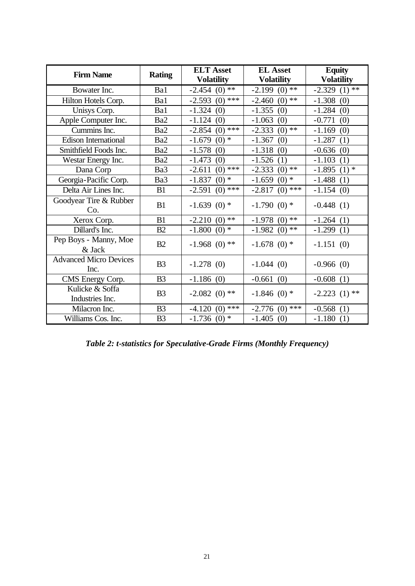| <b>Firm Name</b>                      | <b>Rating</b>   | <b>ELT Asset</b><br><b>Volatility</b> | <b>EL Asset</b><br><b>Volatility</b> | <b>Equity</b><br><b>Volatility</b> |
|---------------------------------------|-----------------|---------------------------------------|--------------------------------------|------------------------------------|
| Bowater Inc.                          | Ba1             | $-2.454$ (0) **                       | $-2.199$ (0) **                      | $-2.329(1)$ **                     |
| Hilton Hotels Corp.                   | Ba1             | $(0)$ ***<br>$-2.593$                 | $(0)$ **<br>$-2.460$                 | $-1.308$<br>(0)                    |
| Unisys Corp.                          | Ba1             | $-1.324$<br>(0)                       | $-1.355$<br>(0)                      | $-1.284(0)$                        |
| Apple Computer Inc.                   | Ba2             | $-1.124$<br>(0)                       | $-1.063$<br>(0)                      | $-0.771$<br>(0)                    |
| Cummins Inc.                          | Ba2             | $(0)$ ***<br>$-2.854$                 | $(0)$ **<br>$-2.333$                 | $-1.169$<br>(0)                    |
| <b>Edison International</b>           | Ba2             | $(0) *$<br>$-1.679$                   | $-1.367$<br>(0)                      | $-1.287$<br>(1)                    |
| Smithfield Foods Inc.                 | Ba <sub>2</sub> | $-1.578$<br>(0)                       | $-1.318$<br>(0)                      | $-0.636$<br>(0)                    |
| Westar Energy Inc.                    | Ba2             | $-1.473$<br>(0)                       | $-1.526$<br>(1)                      | $-1.103$<br>(1)                    |
| Dana Corp                             | Ba3             | $(0)$ ***<br>$-2.611$                 | $(0)$ **<br>$-2.333$                 | $(1)$ *<br>$-1.895$                |
| Georgia-Pacific Corp.                 | Ba3             | $(0)$ *<br>$-1.837$                   | $(0)$ *<br>$-1.659$                  | $-1.488$<br>(1)                    |
| Delta Air Lines Inc.                  | B1              | $(0)$ ***<br>$-2.591$                 | $-2.817(0)$ ***                      | $-1.154(0)$                        |
| Goodyear Tire & Rubber<br>Co.         | B1              | $-1.639(0)$ *                         | $-1.790(0)*$                         | $-0.448(1)$                        |
| Xerox Corp.                           | B1              | $(0)$ **<br>$-2.210$                  | $(0)$ **<br>$-1.978$                 | $-1.264(1)$                        |
| Dillard's Inc.                        | B2              | $-1.800$ (0) *                        | $-1.982$ (0) **                      | $-1.299(1)$                        |
| Pep Boys - Manny, Moe<br>$&$ Jack     | B2              | $-1.968(0)$ **                        | $-1.678$ (0) *                       | $-1.151(0)$                        |
| <b>Advanced Micro Devices</b><br>Inc. | B <sub>3</sub>  | $-1.278(0)$                           | $-1.044(0)$                          | $-0.966(0)$                        |
| CMS Energy Corp.                      | B <sub>3</sub>  | $-1.186(0)$                           | $-0.661(0)$                          | $-0.608(1)$                        |
| Kulicke & Soffa<br>Industries Inc.    | B <sub>3</sub>  | $-2.082$ (0) **                       | $-1.846$ (0) *                       | $-2.223(1)$ **                     |
| Milacron Inc.                         | B <sub>3</sub>  | $-4.120(0)$ ***                       | $-2.776$ (0) ***                     | $-0.568(1)$                        |
| Williams Cos. Inc.                    | B <sub>3</sub>  | $-1.736$ (0) *                        | $-1.405(0)$                          | $-1.180$<br>(1)                    |

*Table 2: t-statistics for Speculative-Grade Firms (Monthly Frequency)*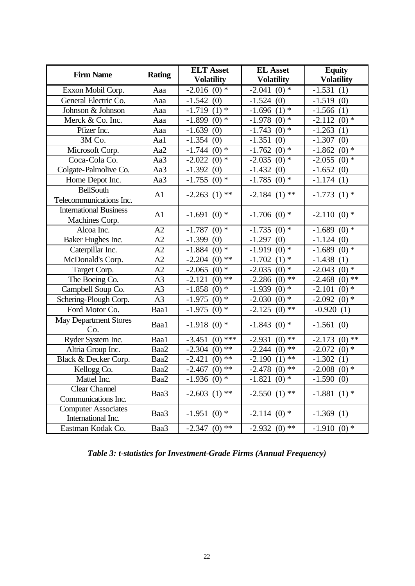| <b>Firm Name</b>                                 |                | <b>ELT Asset</b>        | <b>EL Asset</b>               | <b>Equity</b>           |
|--------------------------------------------------|----------------|-------------------------|-------------------------------|-------------------------|
|                                                  | <b>Rating</b>  | <b>Volatility</b>       | <b>Volatility</b>             | <b>Volatility</b>       |
| Exxon Mobil Corp.                                | Aaa            | $-2.016$<br>$(0)$ *     | $(0)$ *<br>$-2.041$           | $-1.531$<br>(1)         |
| General Electric Co.                             | Aaa            | $-1.542$<br>(0)         | $-1.524(0)$                   | $-1.519$<br>(0)         |
| Johnson & Johnson                                | Aaa            | $(1)$ *<br>$-1.719$     | $(1)$ *<br>$-1.696$           | $-1.566$<br>(1)         |
| Merck & Co. Inc.                                 | Aaa            | $(0)$ *<br>$-1.899$     | $(0)$ *<br>$-1.978$           | $(0)$ *<br>$-2.112$     |
| Pfizer Inc.                                      | Aaa            | $-1.639$<br>(0)         | $-1.743$<br>$(0)$ *           | $-1.263$<br>(1)         |
| 3M Co.                                           | Aa1            | $-1.354$<br>(0)         | $-1.351$<br>(0)               | $-1.307$<br>(0)         |
| Microsoft Corp.                                  | Aa2            | $(0) *$<br>$-1.744$     | $(0)$ *<br>$-1.762$           | $(0) *$<br>$-1.862$     |
| Coca-Cola Co.                                    | Aa3            | $(0)$ *<br>$-2.022$     | $(0)$ *<br>$-2.035$           | $(0)$ *<br>$-2.055$     |
| Colgate-Palmolive Co.                            | Aa3            | $-1.392$<br>(0)         | $-1.432$<br>(0)               | $-1.652$<br>(0)         |
| Home Depot Inc.                                  | Aa3            | $(0)$ *<br>$-1.755$     | $(0)$ *<br>$-1.785$           | $-1.174$<br>(1)         |
| <b>BellSouth</b><br>Telecommunications Inc.      | A1             | $-2.263(1)$ **          | $-2.184(1)$ **                | $-1.773(1)$             |
| <b>International Business</b><br>Machines Corp.  | A1             | $-1.691(0)$ *           | $-1.706$ (0) *                | $-2.110(0)$ *           |
| Alcoa Inc.                                       | A2             | $(0)$ *<br>$-1.787$     | $-1.735$<br>$(0)$ *           | $(0)$ *<br>$-1.689$     |
| Baker Hughes Inc.                                | A2             | $-1.399$<br>(0)         | $-1.297$<br>(0)               | $-1.124$<br>(0)         |
| Caterpillar Inc.                                 | A2             | $(0) *$<br>$-1.884$     | $(0)$ *<br>$-1.919$           | $(0) *$<br>$-1.689$     |
| McDonald's Corp.                                 | A2             | $(0)$ **<br>$-2.204$    | $(1)$ *<br>$-1.702$           | $-1.438$<br>(1)         |
| Target Corp.                                     | A2             | $(0)$ *<br>$-2.065$     | $(0)$ *<br>$-2.035$           | $(0)$ *<br>$-2.043$     |
| The Boeing Co.                                   | A <sub>3</sub> | $-2.121$<br>$(0)$ **    | $\ast\ast$<br>$-2.286$<br>(0) | $**$<br>$-2.468$<br>(0) |
| Campbell Soup Co.                                | A <sub>3</sub> | $(0)$ *<br>$-1.858$     | $(0)$ *<br>$-1.939$           | $(0) *$<br>$-2.101$     |
| Schering-Plough Corp.                            | A <sub>3</sub> | $(0)$ *<br>$-1.975$     | $(0)$ *<br>$-2.030$           | $(0)$ *<br>$-2.092$     |
| Ford Motor Co.                                   | Baa1           | $(0)$ *<br>$-1.975$     | $(0)$ **<br>$-2.125$          | $-0.920$<br>(1)         |
| <b>May Department Stores</b><br>Co.              | Baa1           | $-1.918(0)$ *           | $-1.843(0)$ *                 | $-1.561(0)$             |
| Ryder System Inc.                                | Baa1           | $(0)$ ***<br>$-3.451$   | $**$<br>$-2.931$<br>(0)       | $**$<br>$-2.173$<br>(0) |
| Altria Group Inc.                                | Baa2           | $**$<br>(0)<br>$-2.304$ | $**$<br>$-2.244$<br>(0)       | $(0)$ *<br>$-2.072$     |
| Black & Decker Corp.                             | Baa2           | $(0)$ **<br>$-2.421$    | (1)<br>$**$<br>$-2.190$       | $-1.302$<br>(1)         |
| Kellogg Co.                                      | Baa2           | $(0)$ **<br>$-2.467$    | $(0)$ **<br>$-2.478$          | $(0) *$<br>$-2.008$     |
| Mattel Inc.                                      | Baa2           | $-1.936$ (0) *          | $-1.821(0)$ *                 | $-1.590(0)$             |
| <b>Clear Channel</b><br>Communications Inc.      | Baa3           | $-2.603(1)$ **          | $-2.550(1)$ **                | $-1.881(1)$ *           |
| <b>Computer Associates</b><br>International Inc. | Baa3           | $-1.951(0)$ *           | $-2.114$ (0) $*$              | $-1.369(1)$             |
| Eastman Kodak Co.                                | Baa3           | $-2.347$ (0) **         | $-2.932(0)$ **                | $-1.910(0)$ *           |

*Table 3: t-statistics for Investment-Grade Firms (Annual Frequency)*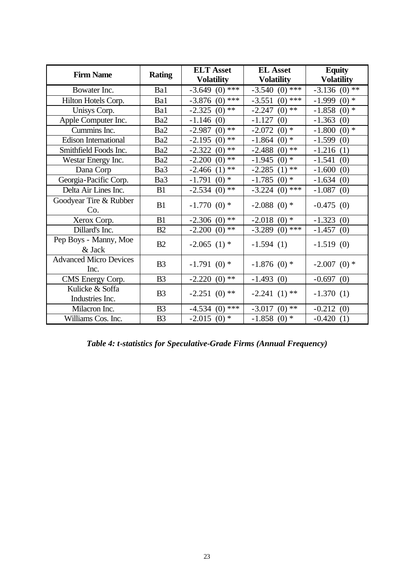| <b>Firm Name</b>                      | <b>Rating</b>   | <b>ELT Asset</b><br><b>Volatility</b> | <b>EL Asset</b><br><b>Volatility</b> | <b>Equity</b><br><b>Volatility</b> |
|---------------------------------------|-----------------|---------------------------------------|--------------------------------------|------------------------------------|
| Bowater Inc.                          | Ba1             | $-3.649$ (0) ***                      | $-3.540(0)$ ***                      | $-3.136$ (0) **                    |
| Hilton Hotels Corp.                   | Ba1             | $-3.876$ (0) ***                      | $(0)$ ***<br>$-3.551$                | $(0) *$<br>$-1.999$                |
| Unisys Corp.                          | Ba1             | $(0)$ **<br>$-2.325$                  | $(0)$ <sup>**</sup><br>$-2.247$      | $-1.858$ (0) *                     |
| Apple Computer Inc.                   | Ba2             | $-1.146(0)$                           | $-1.127$<br>(0)                      | $-1.363$<br>(0)                    |
| Cummins Inc.                          | Ba2             | $(0)$ <sup>**</sup><br>$-2.987$       | $(0)$ <sup>*</sup><br>$-2.072$       | $-1.800$ (0) *                     |
| <b>Edison International</b>           | Ba <sub>2</sub> | $(0)$ **<br>$-2.195$                  | $-1.864$ (0) *                       | $-1.599(0)$                        |
| Smithfield Foods Inc.                 | Ba <sub>2</sub> | $(0)$ **<br>$-2.322$                  | $-2.488$ (0) **                      | $-1.216$<br>(1)                    |
| Westar Energy Inc.                    | Ba2             | $(0)$ **<br>$-2.200$                  | $(0)$ *<br>$-1.945$                  | $-1.541$<br>(0)                    |
| Dana Corp                             | Ba3             | $(1)$ **<br>$-2.466$                  | $-2.285$ (1) **                      | $-1.600$<br>(0)                    |
| Georgia-Pacific Corp.                 | Ba3             | $(0)$ *<br>$-1.791$                   | $(0)$ *<br>$-1.785$                  | $-1.634(0)$                        |
| Delta Air Lines Inc.                  | B1              | $-2.534$ (0) **                       | $-3.224$ (0) ***                     | $-1.087(0)$                        |
| Goodyear Tire & Rubber<br>Co.         | B1              | $-1.770(0)$ *                         | $-2.088$ (0) *                       | $-0.475(0)$                        |
| Xerox Corp.                           | B1              | $-2.306$ (0) **                       | $-2.018$ (0) *                       | $-1.323(0)$                        |
| Dillard's Inc.                        | B2              | $-2.200$ (0) **                       | $-3.289$ (0) ***                     | $-1.457(0)$                        |
| Pep Boys - Manny, Moe<br>$&$ Jack     | B2              | $-2.065$ (1) *                        | $-1.594(1)$                          | $-1.519(0)$                        |
| <b>Advanced Micro Devices</b><br>Inc. | B <sub>3</sub>  | $-1.791(0)$ *                         | $-1.876$ (0) *                       | $-2.007$ (0) *                     |
| CMS Energy Corp.                      | B <sub>3</sub>  | $-2.220(0)$ **                        | $-1.493(0)$                          | $-0.697(0)$                        |
| Kulicke & Soffa<br>Industries Inc.    | B <sub>3</sub>  | $-2.251(0)$ **                        | $-2.241(1)$ **                       | $-1.370(1)$                        |
| Milacron Inc.                         | B <sub>3</sub>  | $-4.534$ (0) ***                      | $(0)$ **<br>$-3.017$                 | $-0.212(0)$                        |
| Williams Cos. Inc.                    | B <sub>3</sub>  | $-2.015$ (0) *                        | $-1.858$ (0) *                       | $-0.420(1)$                        |

*Table 4: t-statistics for Speculative-Grade Firms (Annual Frequency)*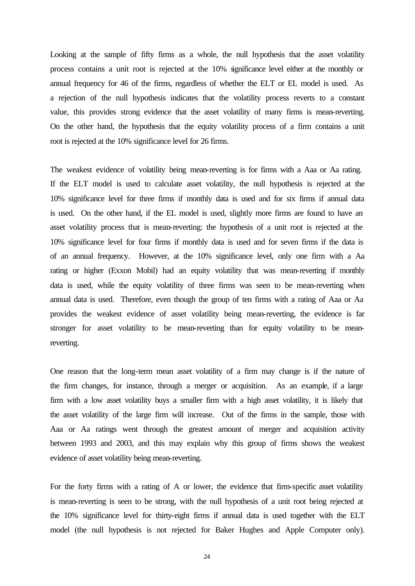Looking at the sample of fifty firms as a whole, the null hypothesis that the asset volatility process contains a unit root is rejected at the 10% significance level either at the monthly or annual frequency for 46 of the firms, regardless of whether the ELT or EL model is used. As a rejection of the null hypothesis indicates that the volatility process reverts to a constant value, this provides strong evidence that the asset volatility of many firms is mean-reverting. On the other hand, the hypothesis that the equity volatility process of a firm contains a unit root is rejected at the 10% significance level for 26 firms.

The weakest evidence of volatility being mean-reverting is for firms with a Aaa or Aa rating. If the ELT model is used to calculate asset volatility, the null hypothesis is rejected at the 10% significance level for three firms if monthly data is used and for six firms if annual data is used. On the other hand, if the EL model is used, slightly more firms are found to have an asset volatility process that is mean-reverting: the hypothesis of a unit root is rejected at the 10% significance level for four firms if monthly data is used and for seven firms if the data is of an annual frequency. However, at the 10% significance level, only one firm with a Aa rating or higher (Exxon Mobil) had an equity volatility that was mean-reverting if monthly data is used, while the equity volatility of three firms was seen to be mean-reverting when annual data is used. Therefore, even though the group of ten firms with a rating of Aaa or Aa provides the weakest evidence of asset volatility being mean-reverting, the evidence is far stronger for asset volatility to be mean-reverting than for equity volatility to be meanreverting.

One reason that the long-term mean asset volatility of a firm may change is if the nature of the firm changes, for instance, through a merger or acquisition. As an example, if a large firm with a low asset volatility buys a smaller firm with a high asset volatility, it is likely that the asset volatility of the large firm will increase. Out of the firms in the sample, those with Aaa or Aa ratings went through the greatest amount of merger and acquisition activity between 1993 and 2003, and this may explain why this group of firms shows the weakest evidence of asset volatility being mean-reverting.

For the forty firms with a rating of A or lower, the evidence that firm-specific asset volatility is mean-reverting is seen to be strong, with the null hypothesis of a unit root being rejected at the 10% significance level for thirty-eight firms if annual data is used together with the ELT model (the null hypothesis is not rejected for Baker Hughes and Apple Computer only).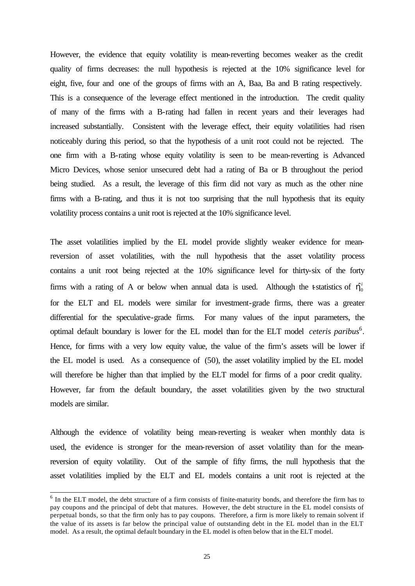However, the evidence that equity volatility is mean-reverting becomes weaker as the credit quality of firms decreases: the null hypothesis is rejected at the 10% significance level for eight, five, four and one of the groups of firms with an A, Baa, Ba and B rating respectively. This is a consequence of the leverage effect mentioned in the introduction. The credit quality of many of the firms with a B-rating had fallen in recent years and their leverages had increased substantially. Consistent with the leverage effect, their equity volatilities had risen noticeably during this period, so that the hypothesis of a unit root could not be rejected. The one firm with a B-rating whose equity volatility is seen to be mean-reverting is Advanced Micro Devices, whose senior unsecured debt had a rating of Ba or B throughout the period being studied. As a result, the leverage of this firm did not vary as much as the other nine firms with a B-rating, and thus it is not too surprising that the null hypothesis that its equity volatility process contains a unit root is rejected at the 10% significance level.

The asset volatilities implied by the EL model provide slightly weaker evidence for meanreversion of asset volatilities, with the null hypothesis that the asset volatility process contains a unit root being rejected at the 10% significance level for thirty-six of the forty firms with a rating of A or below when annual data is used. Although the *t*-statistics of  $\mathbf{h}_0^i$ for the ELT and EL models were similar for investment-grade firms, there was a greater differential for the speculative-grade firms. For many values of the input parameters, the optimal default boundary is lower for the EL model than for the ELT model *ceteris paribus*<sup>6</sup>. Hence, for firms with a very low equity value, the value of the firm's assets will be lower if the EL model is used. As a consequence of (50), the asset volatility implied by the EL model will therefore be higher than that implied by the ELT model for firms of a poor credit quality. However, far from the default boundary, the asset volatilities given by the two structural models are similar.

Although the evidence of volatility being mean-reverting is weaker when monthly data is used, the evidence is stronger for the mean-reversion of asset volatility than for the meanreversion of equity volatility. Out of the sample of fifty firms, the null hypothesis that the asset volatilities implied by the ELT and EL models contains a unit root is rejected at the

l

<sup>&</sup>lt;sup>6</sup> In the ELT model, the debt structure of a firm consists of finite-maturity bonds, and therefore the firm has to pay coupons and the principal of debt that matures. However, the debt structure in the EL model consists of perpetual bonds, so that the firm only has to pay coupons. Therefore, a firm is more likely to remain solvent if the value of its assets is far below the principal value of outstanding debt in the EL model than in the ELT model. As a result, the optimal default boundary in the EL model is often below that in the ELT model.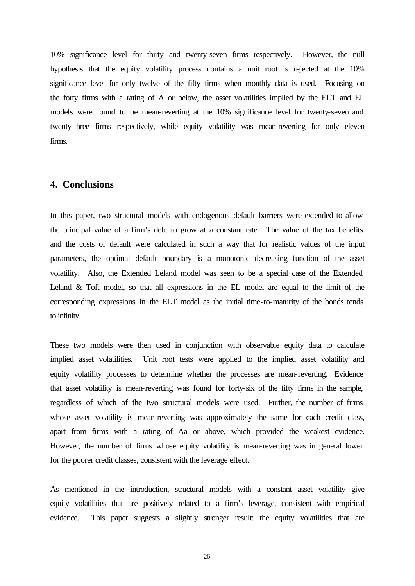10% significance level for thirty and twenty-seven firms respectively. However, the null hypothesis that the equity volatility process contains a unit root is rejected at the 10% significance level for only twelve of the fifty firms when monthly data is used. Focusing on the forty firms with a rating of A or below, the asset volatilities implied by the ELT and EL models were found to be mean-reverting at the 10% significance level for twenty-seven and twenty-three firms respectively, while equity volatility was mean-reverting for only eleven firms.

#### **4. Conclusions**

In this paper, two structural models with endogenous default barriers were extended to allow the principal value of a firm's debt to grow at a constant rate. The value of the tax benefits and the costs of default were calculated in such a way that for realistic values of the input parameters, the optimal default boundary is a monotonic decreasing function of the asset volatility. Also, the Extended Leland model was seen to be a special case of the Extended Leland & Toft model, so that all expressions in the EL model are equal to the limit of the corresponding expressions in the ELT model as the initial time-to-maturity of the bonds tends to infinity.

These two models were then used in conjunction with observable equity data to calculate implied asset volatilities. Unit root tests were applied to the implied asset volatility and equity volatility processes to determine whether the processes are mean-reverting. Evidence that asset volatility is mean-reverting was found for forty-six of the fifty firms in the sample, regardless of which of the two structural models were used. Further, the number of firms whose asset volatility is mean-reverting was approximately the same for each credit class, apart from firms with a rating of Aa or above, which provided the weakest evidence. However, the number of firms whose equity volatility is mean-reverting was in general lower for the poorer credit classes, consistent with the leverage effect.

As mentioned in the introduction, structural models with a constant asset volatility give equity volatilities that are positively related to a firm's leverage, consistent with empirical evidence. This paper suggests a slightly stronger result: the equity volatilities that are

26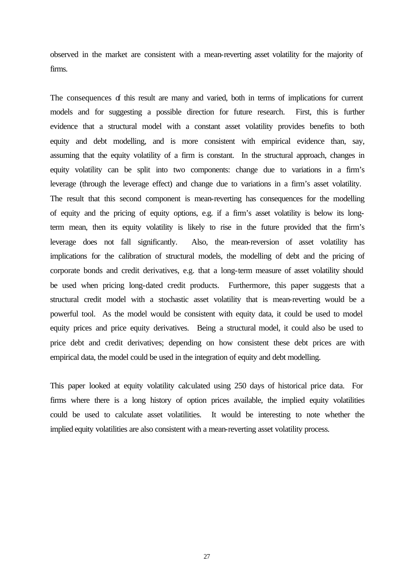observed in the market are consistent with a mean-reverting asset volatility for the majority of firms.

The consequences of this result are many and varied, both in terms of implications for current models and for suggesting a possible direction for future research. First, this is further evidence that a structural model with a constant asset volatility provides benefits to both equity and debt modelling, and is more consistent with empirical evidence than, say, assuming that the equity volatility of a firm is constant. In the structural approach, changes in equity volatility can be split into two components: change due to variations in a firm's leverage (through the leverage effect) and change due to variations in a firm's asset volatility. The result that this second component is mean-reverting has consequences for the modelling of equity and the pricing of equity options, e.g. if a firm's asset volatility is below its longterm mean, then its equity volatility is likely to rise in the future provided that the firm's leverage does not fall significantly. Also, the mean-reversion of asset volatility has implications for the calibration of structural models, the modelling of debt and the pricing of corporate bonds and credit derivatives, e.g. that a long-term measure of asset volatility should be used when pricing long-dated credit products. Furthermore, this paper suggests that a structural credit model with a stochastic asset volatility that is mean-reverting would be a powerful tool. As the model would be consistent with equity data, it could be used to model equity prices and price equity derivatives. Being a structural model, it could also be used to price debt and credit derivatives; depending on how consistent these debt prices are with empirical data, the model could be used in the integration of equity and debt modelling.

This paper looked at equity volatility calculated using 250 days of historical price data. For firms where there is a long history of option prices available, the implied equity volatilities could be used to calculate asset volatilities. It would be interesting to note whether the implied equity volatilities are also consistent with a mean-reverting asset volatility process.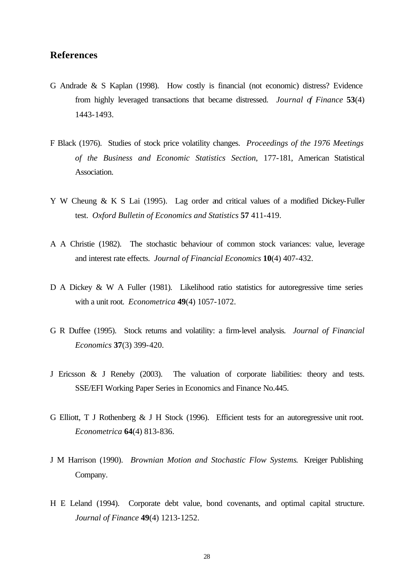#### **References**

- G Andrade & S Kaplan (1998). How costly is financial (not economic) distress? Evidence from highly leveraged transactions that became distressed. *Journal of Finance* **53**(4) 1443-1493.
- F Black (1976). Studies of stock price volatility changes. *Proceedings of the 1976 Meetings of the Business and Economic Statistics Section*, 177-181, American Statistical Association.
- Y W Cheung & K S Lai (1995). Lag order and critical values of a modified Dickey-Fuller test. *Oxford Bulletin of Economics and Statistics* **57** 411-419.
- A A Christie (1982). The stochastic behaviour of common stock variances: value, leverage and interest rate effects. *Journal of Financial Economics* **10**(4) 407-432.
- D A Dickey & W A Fuller (1981). Likelihood ratio statistics for autoregressive time series with a unit root. *Econometrica* **49**(4) 1057-1072.
- G R Duffee (1995). Stock returns and volatility: a firm-level analysis. *Journal of Financial Economics* **37**(3) 399-420.
- J Ericsson & J Reneby (2003). The valuation of corporate liabilities: theory and tests. SSE/EFI Working Paper Series in Economics and Finance No.445.
- G Elliott, T J Rothenberg & J H Stock (1996). Efficient tests for an autoregressive unit root. *Econometrica* **64**(4) 813-836.
- J M Harrison (1990). *Brownian Motion and Stochastic Flow Systems*. Kreiger Publishing Company.
- H E Leland (1994). Corporate debt value, bond covenants, and optimal capital structure. *Journal of Finance* **49**(4) 1213-1252.